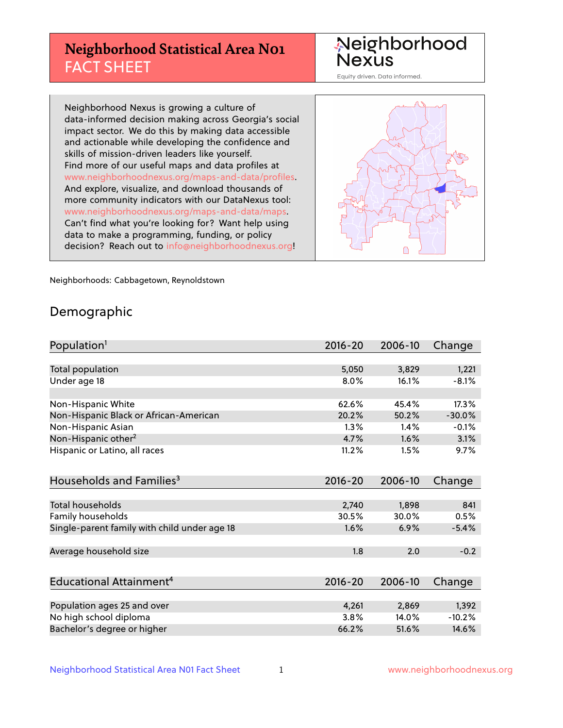## **Neighborhood Statistical Area N01** FACT SHEET

Neighborhood Nexus

Equity driven. Data informed.

Neighborhood Nexus is growing a culture of data-informed decision making across Georgia's social impact sector. We do this by making data accessible and actionable while developing the confidence and skills of mission-driven leaders like yourself. Find more of our useful maps and data profiles at www.neighborhoodnexus.org/maps-and-data/profiles. And explore, visualize, and download thousands of more community indicators with our DataNexus tool: www.neighborhoodnexus.org/maps-and-data/maps. Can't find what you're looking for? Want help using data to make a programming, funding, or policy decision? Reach out to [info@neighborhoodnexus.org!](mailto:info@neighborhoodnexus.org)



Neighborhoods: Cabbagetown, Reynoldstown

### Demographic

| Population <sup>1</sup>                      | $2016 - 20$ | 2006-10 | Change   |
|----------------------------------------------|-------------|---------|----------|
|                                              |             |         |          |
| Total population                             | 5,050       | 3,829   | 1,221    |
| Under age 18                                 | 8.0%        | 16.1%   | $-8.1%$  |
|                                              |             |         |          |
| Non-Hispanic White                           | 62.6%       | 45.4%   | 17.3%    |
| Non-Hispanic Black or African-American       | 20.2%       | 50.2%   | $-30.0%$ |
| Non-Hispanic Asian                           | 1.3%        | 1.4%    | $-0.1%$  |
| Non-Hispanic other <sup>2</sup>              | 4.7%        | 1.6%    | 3.1%     |
| Hispanic or Latino, all races                | 11.2%       | 1.5%    | 9.7%     |
|                                              |             |         |          |
| Households and Families <sup>3</sup>         | $2016 - 20$ | 2006-10 | Change   |
|                                              |             |         |          |
| <b>Total households</b>                      | 2,740       | 1,898   | 841      |
| Family households                            | 30.5%       | 30.0%   | 0.5%     |
| Single-parent family with child under age 18 | 1.6%        | 6.9%    | $-5.4%$  |
|                                              |             |         |          |
| Average household size                       | 1.8         | 2.0     | $-0.2$   |
|                                              |             |         |          |
| Educational Attainment <sup>4</sup>          | $2016 - 20$ | 2006-10 | Change   |
|                                              |             |         |          |
| Population ages 25 and over                  | 4,261       | 2,869   | 1,392    |
| No high school diploma                       | 3.8%        | 14.0%   | $-10.2%$ |
| Bachelor's degree or higher                  | 66.2%       | 51.6%   | 14.6%    |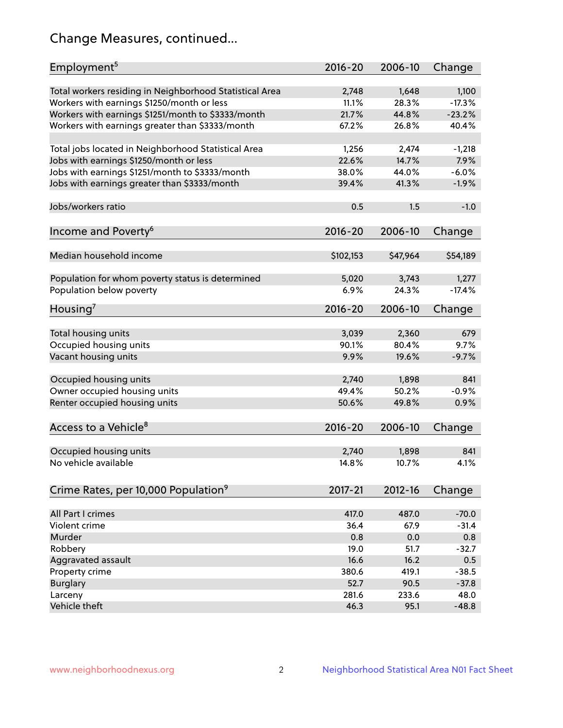## Change Measures, continued...

| Employment <sup>5</sup>                                 | $2016 - 20$    | 2006-10        | Change            |
|---------------------------------------------------------|----------------|----------------|-------------------|
|                                                         |                |                |                   |
| Total workers residing in Neighborhood Statistical Area | 2,748<br>11.1% | 1,648<br>28.3% | 1,100<br>$-17.3%$ |
| Workers with earnings \$1250/month or less              | 21.7%          | 44.8%          | $-23.2%$          |
| Workers with earnings \$1251/month to \$3333/month      | 67.2%          | 26.8%          | 40.4%             |
| Workers with earnings greater than \$3333/month         |                |                |                   |
| Total jobs located in Neighborhood Statistical Area     | 1,256          | 2,474          | $-1,218$          |
| Jobs with earnings \$1250/month or less                 | 22.6%          | 14.7%          | 7.9%              |
| Jobs with earnings \$1251/month to \$3333/month         | 38.0%          | 44.0%          | $-6.0%$           |
| Jobs with earnings greater than \$3333/month            | 39.4%          | 41.3%          | $-1.9%$           |
|                                                         |                |                |                   |
| Jobs/workers ratio                                      | 0.5            | 1.5            | $-1.0$            |
|                                                         |                |                |                   |
| Income and Poverty <sup>6</sup>                         | 2016-20        | 2006-10        | Change            |
|                                                         |                |                |                   |
| Median household income                                 | \$102,153      | \$47,964       | \$54,189          |
|                                                         |                |                |                   |
| Population for whom poverty status is determined        | 5,020          | 3,743          | 1,277             |
| Population below poverty                                | 6.9%           | 24.3%          | $-17.4%$          |
|                                                         |                |                |                   |
| Housing <sup>7</sup>                                    | $2016 - 20$    | 2006-10        | Change            |
|                                                         |                |                |                   |
| Total housing units                                     | 3,039          | 2,360          | 679               |
| Occupied housing units                                  | 90.1%          | 80.4%          | 9.7%              |
| Vacant housing units                                    | 9.9%           | 19.6%          | $-9.7%$           |
|                                                         |                |                |                   |
| Occupied housing units                                  | 2,740          | 1,898          | 841               |
| Owner occupied housing units                            | 49.4%          | 50.2%          | $-0.9%$           |
| Renter occupied housing units                           | 50.6%          | 49.8%          | 0.9%              |
|                                                         |                |                |                   |
| Access to a Vehicle <sup>8</sup>                        | $2016 - 20$    | 2006-10        | Change            |
|                                                         |                |                |                   |
| Occupied housing units                                  | 2,740          | 1,898          | 841               |
| No vehicle available                                    | 14.8%          | 10.7%          | 4.1%              |
|                                                         |                |                |                   |
| Crime Rates, per 10,000 Population <sup>9</sup>         | 2017-21        | 2012-16        | Change            |
|                                                         |                |                |                   |
| All Part I crimes                                       | 417.0          | 487.0          | $-70.0$           |
| Violent crime                                           | 36.4           | 67.9           | $-31.4$           |
| <b>Murder</b>                                           | 0.8            | 0.0            | 0.8               |
| Robbery                                                 | 19.0           | 51.7           | $-32.7$           |
| Aggravated assault                                      | 16.6           | 16.2           | 0.5               |
| Property crime                                          | 380.6          | 419.1          | $-38.5$           |
| <b>Burglary</b>                                         | 52.7           | 90.5           | $-37.8$           |
| Larceny                                                 | 281.6          | 233.6          | 48.0              |
| Vehicle theft                                           | 46.3           | 95.1           | $-48.8$           |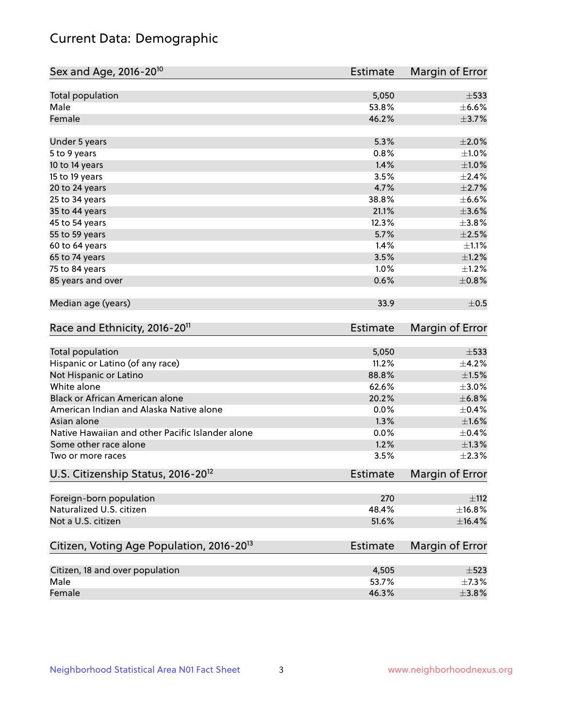## Current Data: Demographic

| Sex and Age, 2016-20 <sup>10</sup>                    | <b>Estimate</b> | Margin of Error        |
|-------------------------------------------------------|-----------------|------------------------|
| Total population                                      | 5,050           | $\pm$ 533              |
| Male                                                  | 53.8%           | $\pm$ 6.6%             |
| Female                                                | 46.2%           | $\pm$ 3.7%             |
| Under 5 years                                         | 5.3%            | $\pm 2.0\%$            |
| 5 to 9 years                                          | 0.8%            | $\pm1.0\%$             |
| 10 to 14 years                                        | 1.4%            | $\pm1.0\%$             |
| 15 to 19 years                                        | 3.5%            | ±2.4%                  |
| 20 to 24 years                                        | 4.7%            | $\pm 2.7\%$            |
| 25 to 34 years                                        | 38.8%           | $\pm$ 6.6%             |
| 35 to 44 years                                        | 21.1%           | $\pm 3.6\%$            |
| 45 to 54 years                                        | 12.3%           | ±3.8%                  |
| 55 to 59 years                                        | 5.7%            | $\pm 2.5\%$            |
| 60 to 64 years                                        | 1.4%            | $\pm 1.1\%$            |
| 65 to 74 years                                        | 3.5%            | $\pm 1.2\%$            |
| 75 to 84 years                                        | 1.0%            | $\pm 1.2\%$            |
| 85 years and over                                     | 0.6%            | $\pm$ 0.8%             |
| Median age (years)                                    | 33.9            | $\pm$ 0.5              |
| Race and Ethnicity, 2016-20 <sup>11</sup>             | <b>Estimate</b> | Margin of Error        |
| Total population                                      | 5,050           | $\pm$ 533              |
| Hispanic or Latino (of any race)                      | 11.2%           | $\pm$ 4.2%             |
| Not Hispanic or Latino                                | 88.8%           | $\pm 1.5\%$            |
| White alone                                           | 62.6%           | $\pm 3.0\%$            |
| Black or African American alone                       | 20.2%           | ±6.8%                  |
| American Indian and Alaska Native alone               | 0.0%            | $\pm$ 0.4%             |
| Asian alone                                           | 1.3%            | ±1.6%                  |
| Native Hawaiian and other Pacific Islander alone      | 0.0%            | $\pm$ 0.4%             |
| Some other race alone                                 | 1.2%            | $\pm 1.3\%$            |
| Two or more races                                     | 3.5%            | $\pm 2.3\%$            |
| U.S. Citizenship Status, 2016-20 <sup>12</sup>        | <b>Estimate</b> | <b>Margin of Error</b> |
| Foreign-born population                               | 270             | ±112                   |
| Naturalized U.S. citizen                              | 48.4%           | ±16.8%                 |
| Not a U.S. citizen                                    | 51.6%           | $\pm$ 16.4%            |
| Citizen, Voting Age Population, 2016-20 <sup>13</sup> | <b>Estimate</b> | Margin of Error        |
|                                                       |                 |                        |
| Citizen, 18 and over population                       | 4,505           | $\pm$ 523              |
| Male                                                  | 53.7%           | $\pm$ 7.3%             |
| Female                                                | 46.3%           | $\pm$ 3.8%             |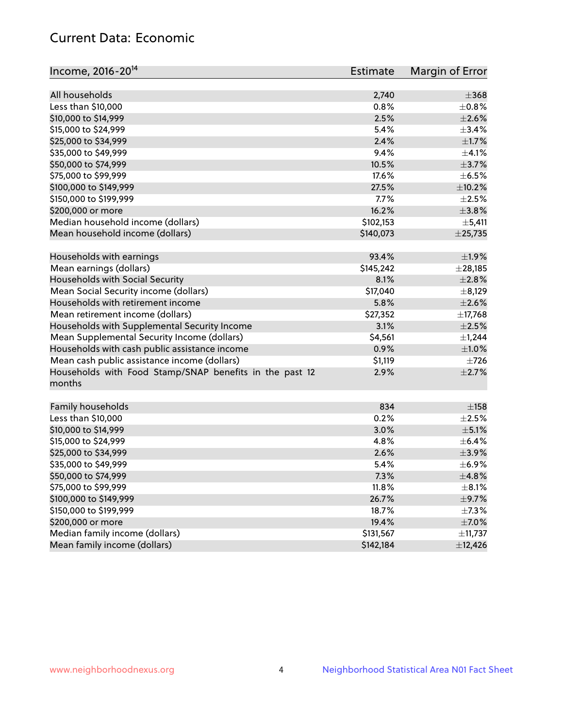## Current Data: Economic

| Income, 2016-20 <sup>14</sup>                           | <b>Estimate</b> | Margin of Error |
|---------------------------------------------------------|-----------------|-----------------|
| All households                                          |                 | $\pm 368$       |
|                                                         | 2,740<br>0.8%   | $\pm$ 0.8%      |
| Less than \$10,000                                      |                 | $\pm 2.6\%$     |
| \$10,000 to \$14,999                                    | 2.5%            |                 |
| \$15,000 to \$24,999                                    | 5.4%            | ±3.4%           |
| \$25,000 to \$34,999                                    | 2.4%            | $\pm 1.7\%$     |
| \$35,000 to \$49,999                                    | 9.4%            | $\pm 4.1\%$     |
| \$50,000 to \$74,999                                    | 10.5%           | $\pm$ 3.7%      |
| \$75,000 to \$99,999                                    | 17.6%           | $\pm$ 6.5%      |
| \$100,000 to \$149,999                                  | 27.5%           | ±10.2%          |
| \$150,000 to \$199,999                                  | 7.7%            | $\pm 2.5\%$     |
| \$200,000 or more                                       | 16.2%           | $\pm$ 3.8%      |
| Median household income (dollars)                       | \$102,153       | $\pm$ 5,411     |
| Mean household income (dollars)                         | \$140,073       | ±25,735         |
| Households with earnings                                | 93.4%           | ±1.9%           |
| Mean earnings (dollars)                                 | \$145,242       | ± 28,185        |
| Households with Social Security                         | 8.1%            | $\pm 2.8\%$     |
| Mean Social Security income (dollars)                   | \$17,040        | $\pm$ 8,129     |
| Households with retirement income                       | 5.8%            | $\pm 2.6\%$     |
| Mean retirement income (dollars)                        | \$27,352        | ±17,768         |
| Households with Supplemental Security Income            | 3.1%            | $\pm 2.5\%$     |
| Mean Supplemental Security Income (dollars)             | \$4,561         | $\pm$ 1,244     |
| Households with cash public assistance income           | 0.9%            | $\pm1.0\%$      |
| Mean cash public assistance income (dollars)            | \$1,119         | $\pm 726$       |
| Households with Food Stamp/SNAP benefits in the past 12 | 2.9%            | $\pm 2.7\%$     |
| months                                                  |                 |                 |
|                                                         | 834             |                 |
| Family households                                       |                 | $\pm$ 158       |
| Less than \$10,000                                      | 0.2%            | $\pm 2.5\%$     |
| \$10,000 to \$14,999                                    | 3.0%            | $\pm$ 5.1%      |
| \$15,000 to \$24,999                                    | 4.8%            | $\pm$ 6.4%      |
| \$25,000 to \$34,999                                    | 2.6%            | $\pm$ 3.9%      |
| \$35,000 to \$49,999                                    | 5.4%            | $\pm$ 6.9%      |
| \$50,000 to \$74,999                                    | 7.3%            | ±4.8%           |
| \$75,000 to \$99,999                                    | 11.8%           | $\pm$ 8.1%      |
| \$100,000 to \$149,999                                  | 26.7%           | $\pm$ 9.7%      |
| \$150,000 to \$199,999                                  | 18.7%           | $\pm$ 7.3%      |
| \$200,000 or more                                       | 19.4%           | $\pm$ 7.0%      |
| Median family income (dollars)                          | \$131,567       | ±11,737         |
| Mean family income (dollars)                            | \$142,184       | ±12,426         |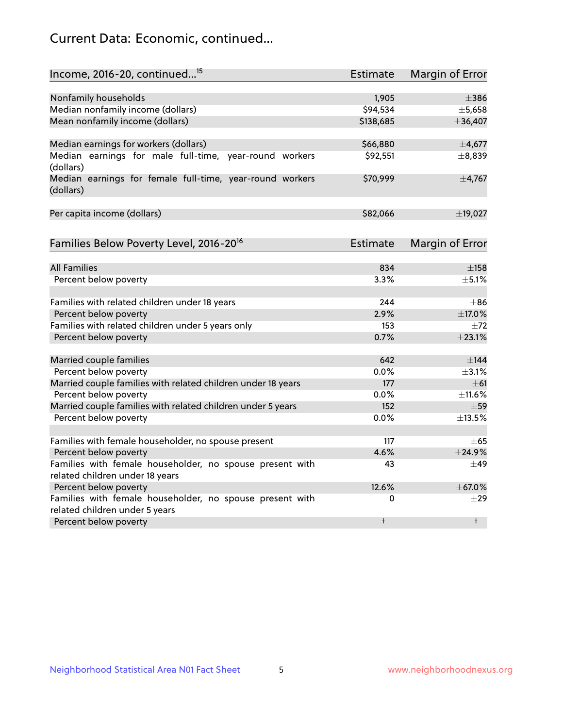## Current Data: Economic, continued...

| Income, 2016-20, continued <sup>15</sup>                              | <b>Estimate</b> | Margin of Error |
|-----------------------------------------------------------------------|-----------------|-----------------|
|                                                                       |                 |                 |
| Nonfamily households                                                  | 1,905           | $\pm$ 386       |
| Median nonfamily income (dollars)                                     | \$94,534        | ±5,658          |
| Mean nonfamily income (dollars)                                       | \$138,685       | ±36,407         |
| Median earnings for workers (dollars)                                 | \$66,880        | $\pm$ 4,677     |
| Median earnings for male full-time, year-round workers<br>(dollars)   | \$92,551        | ±8,839          |
| Median earnings for female full-time, year-round workers<br>(dollars) | \$70,999        | ±4,767          |
| Per capita income (dollars)                                           | \$82,066        | ±19,027         |
| Families Below Poverty Level, 2016-20 <sup>16</sup>                   | <b>Estimate</b> | Margin of Error |
|                                                                       |                 |                 |
| <b>All Families</b>                                                   | 834             | $\pm$ 158       |
| Percent below poverty                                                 | 3.3%            | $+5.1%$         |
| Families with related children under 18 years                         | 244             | $\pm$ 86        |
| Percent below poverty                                                 | 2.9%            | ±17.0%          |
| Families with related children under 5 years only                     | 153             | $\pm 72$        |
| Percent below poverty                                                 | 0.7%            | ±23.1%          |
| Married couple families                                               | 642             | $\pm$ 144       |
| Percent below poverty                                                 | 0.0%            | $\pm$ 3.1%      |
| Married couple families with related children under 18 years          | 177             | $\pm 61$        |
| Percent below poverty                                                 | $0.0\%$         | $\pm$ 11.6%     |
| Married couple families with related children under 5 years           | 152             | $\pm$ 59        |
| Percent below poverty                                                 | $0.0\%$         | ±13.5%          |
| Families with female householder, no spouse present                   | 117             | $\pm 65$        |
| Percent below poverty                                                 | 4.6%            | ±24.9%          |
| Families with female householder, no spouse present with              | 43              | $+49$           |
| related children under 18 years                                       |                 |                 |
| Percent below poverty                                                 | 12.6%           | ±67.0%          |
| Families with female householder, no spouse present with              | 0               | $\pm 29$        |
| related children under 5 years<br>Percent below poverty               | t               | $\ddagger$      |
|                                                                       |                 |                 |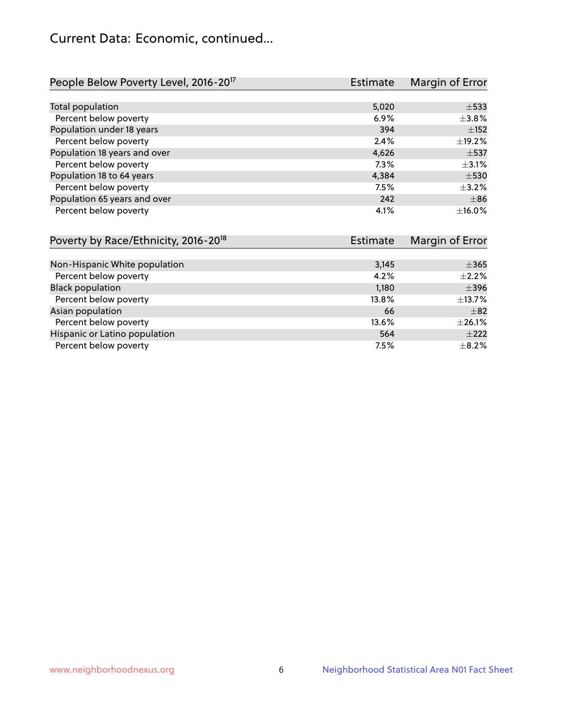## Current Data: Economic, continued...

| People Below Poverty Level, 2016-20 <sup>17</sup> | <b>Estimate</b> | Margin of Error |
|---------------------------------------------------|-----------------|-----------------|
|                                                   |                 |                 |
| Total population                                  | 5,020           | $\pm$ 533       |
| Percent below poverty                             | 6.9%            | $\pm$ 3.8%      |
| Population under 18 years                         | 394             | $\pm$ 152       |
| Percent below poverty                             | 2.4%            | ±19.2%          |
| Population 18 years and over                      | 4,626           | $\pm$ 537       |
| Percent below poverty                             | 7.3%            | $\pm$ 3.1%      |
| Population 18 to 64 years                         | 4,384           | $\pm$ 530       |
| Percent below poverty                             | 7.5%            | $\pm$ 3.2%      |
| Population 65 years and over                      | 242             | $\pm$ 86        |
| Percent below poverty                             | 4.1%            | $\pm$ 16.0%     |

| Poverty by Race/Ethnicity, 2016-20 <sup>18</sup> | Estimate | Margin of Error |
|--------------------------------------------------|----------|-----------------|
|                                                  |          |                 |
| Non-Hispanic White population                    | 3,145    | $\pm$ 365       |
| Percent below poverty                            | 4.2%     | $\pm 2.2\%$     |
| <b>Black population</b>                          | 1,180    | $\pm$ 396       |
| Percent below poverty                            | 13.8%    | $\pm$ 13.7%     |
| Asian population                                 | 66       | $\pm$ 82        |
| Percent below poverty                            | 13.6%    | $\pm$ 26.1%     |
| Hispanic or Latino population                    | 564      | $\pm 222$       |
| Percent below poverty                            | 7.5%     | $\pm$ 8.2%      |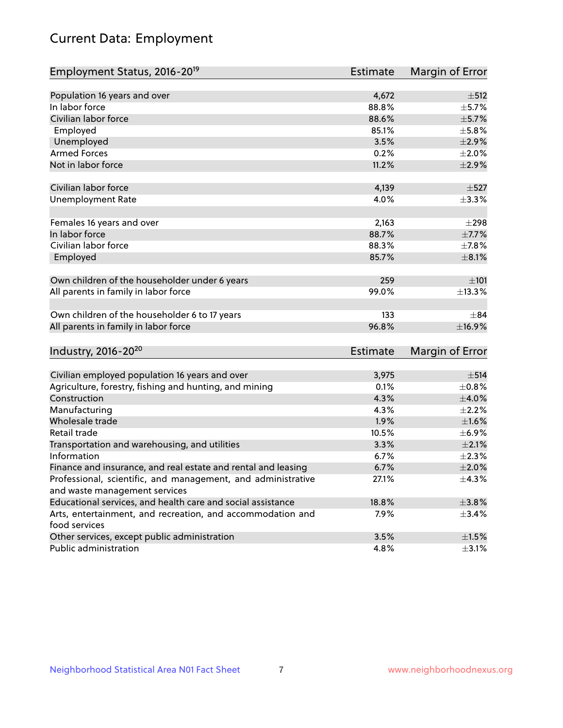# Current Data: Employment

| Employment Status, 2016-20 <sup>19</sup>                                    | <b>Estimate</b> | Margin of Error |
|-----------------------------------------------------------------------------|-----------------|-----------------|
|                                                                             |                 |                 |
| Population 16 years and over                                                | 4,672           | ±512            |
| In labor force                                                              | 88.8%           | $\pm$ 5.7%      |
| Civilian labor force                                                        | 88.6%           | $\pm$ 5.7%      |
| Employed                                                                    | 85.1%           | $\pm$ 5.8%      |
| Unemployed                                                                  | 3.5%            | $\pm 2.9\%$     |
| <b>Armed Forces</b>                                                         | 0.2%            | $\pm 2.0\%$     |
| Not in labor force                                                          | 11.2%           | $\pm 2.9\%$     |
| Civilian labor force                                                        | 4,139           | $\pm$ 527       |
| <b>Unemployment Rate</b>                                                    | 4.0%            | ±3.3%           |
| Females 16 years and over                                                   | 2,163           | $\pm 298$       |
| In labor force                                                              | 88.7%           | $\pm$ 7.7%      |
| Civilian labor force                                                        | 88.3%           | $\pm$ 7.8%      |
| Employed                                                                    | 85.7%           | $\pm$ 8.1%      |
|                                                                             |                 |                 |
| Own children of the householder under 6 years                               | 259             | ±101            |
| All parents in family in labor force                                        | 99.0%           | ±13.3%          |
|                                                                             |                 |                 |
| Own children of the householder 6 to 17 years                               | 133             | $\pm$ 84        |
| All parents in family in labor force                                        | 96.8%           | ±16.9%          |
|                                                                             |                 |                 |
| Industry, 2016-20 <sup>20</sup>                                             | <b>Estimate</b> | Margin of Error |
|                                                                             |                 |                 |
| Civilian employed population 16 years and over                              | 3,975           | $\pm$ 514       |
| Agriculture, forestry, fishing and hunting, and mining                      | 0.1%            | $\pm$ 0.8%      |
| Construction                                                                | 4.3%            | $\pm 4.0\%$     |
| Manufacturing                                                               | 4.3%            | $\pm 2.2\%$     |
| Wholesale trade                                                             | 1.9%            | $\pm1.6\%$      |
| Retail trade                                                                | 10.5%           | $\pm$ 6.9%      |
| Transportation and warehousing, and utilities                               | 3.3%            | $\pm 2.1\%$     |
| Information                                                                 | 6.7%            | $\pm 2.3\%$     |
| Finance and insurance, and real estate and rental and leasing               | 6.7%            | $\pm 2.0\%$     |
| Professional, scientific, and management, and administrative                | 27.1%           | $\pm$ 4.3%      |
| and waste management services                                               |                 |                 |
| Educational services, and health care and social assistance                 | 18.8%           | $\pm$ 3.8%      |
| Arts, entertainment, and recreation, and accommodation and<br>food services | 7.9%            | $\pm$ 3.4%      |
| Other services, except public administration                                | 3.5%            | $\pm 1.5\%$     |
| Public administration                                                       | 4.8%            | $\pm$ 3.1%      |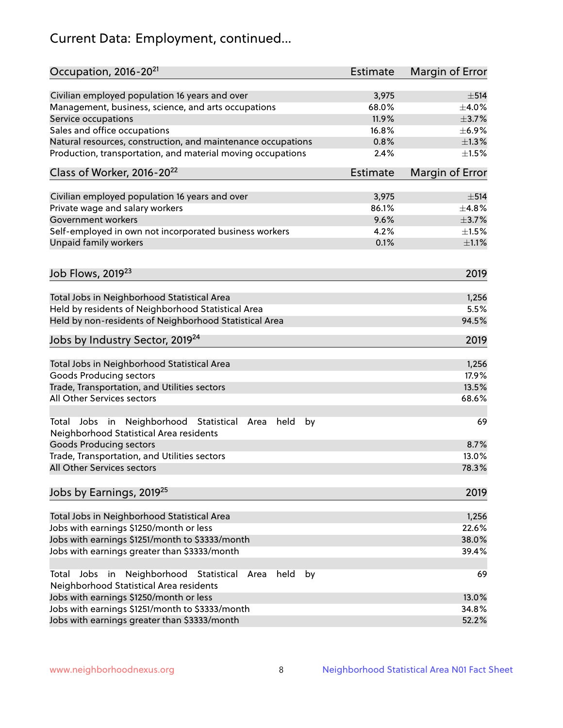# Current Data: Employment, continued...

| Occupation, 2016-20 <sup>21</sup>                                                                       | <b>Estimate</b> | Margin of Error |
|---------------------------------------------------------------------------------------------------------|-----------------|-----------------|
| Civilian employed population 16 years and over                                                          | 3,975           | $\pm$ 514       |
| Management, business, science, and arts occupations                                                     | 68.0%           | $\pm$ 4.0%      |
| Service occupations                                                                                     | 11.9%           | $\pm$ 3.7%      |
| Sales and office occupations                                                                            | 16.8%           | $\pm$ 6.9%      |
| Natural resources, construction, and maintenance occupations                                            | 0.8%            | $\pm 1.3\%$     |
| Production, transportation, and material moving occupations                                             | 2.4%            | $\pm 1.5\%$     |
| Class of Worker, 2016-20 <sup>22</sup>                                                                  | Estimate        | Margin of Error |
| Civilian employed population 16 years and over                                                          | 3,975           | $\pm$ 514       |
| Private wage and salary workers                                                                         | 86.1%           | ±4.8%           |
| Government workers                                                                                      | 9.6%            | $\pm$ 3.7%      |
| Self-employed in own not incorporated business workers                                                  | 4.2%            | $\pm 1.5\%$     |
| Unpaid family workers                                                                                   | 0.1%            | $\pm 1.1\%$     |
|                                                                                                         |                 |                 |
| Job Flows, 2019 <sup>23</sup>                                                                           |                 | 2019            |
| Total Jobs in Neighborhood Statistical Area                                                             |                 | 1,256           |
| Held by residents of Neighborhood Statistical Area                                                      |                 | 5.5%            |
| Held by non-residents of Neighborhood Statistical Area                                                  |                 | 94.5%           |
| Jobs by Industry Sector, 2019 <sup>24</sup>                                                             |                 | 2019            |
| Total Jobs in Neighborhood Statistical Area                                                             |                 | 1,256           |
| <b>Goods Producing sectors</b>                                                                          |                 | 17.9%           |
| Trade, Transportation, and Utilities sectors                                                            |                 | 13.5%           |
| All Other Services sectors                                                                              |                 | 68.6%           |
| Total Jobs in Neighborhood Statistical<br>held<br>by<br>Area<br>Neighborhood Statistical Area residents |                 | 69              |
| <b>Goods Producing sectors</b>                                                                          |                 | 8.7%            |
| Trade, Transportation, and Utilities sectors                                                            |                 | 13.0%           |
| All Other Services sectors                                                                              |                 | 78.3%           |
| Jobs by Earnings, 2019 <sup>25</sup>                                                                    |                 | 2019            |
| Total Jobs in Neighborhood Statistical Area                                                             |                 | 1,256           |
| Jobs with earnings \$1250/month or less                                                                 |                 | 22.6%           |
| Jobs with earnings \$1251/month to \$3333/month                                                         |                 | 38.0%           |
| Jobs with earnings greater than \$3333/month                                                            |                 | 39.4%           |
| Neighborhood Statistical<br>Jobs<br>in<br>held<br>by<br>Total<br>Area                                   |                 | 69              |
| Neighborhood Statistical Area residents                                                                 |                 |                 |
| Jobs with earnings \$1250/month or less                                                                 |                 | 13.0%           |
| Jobs with earnings \$1251/month to \$3333/month                                                         |                 | 34.8%           |
| Jobs with earnings greater than \$3333/month                                                            |                 | 52.2%           |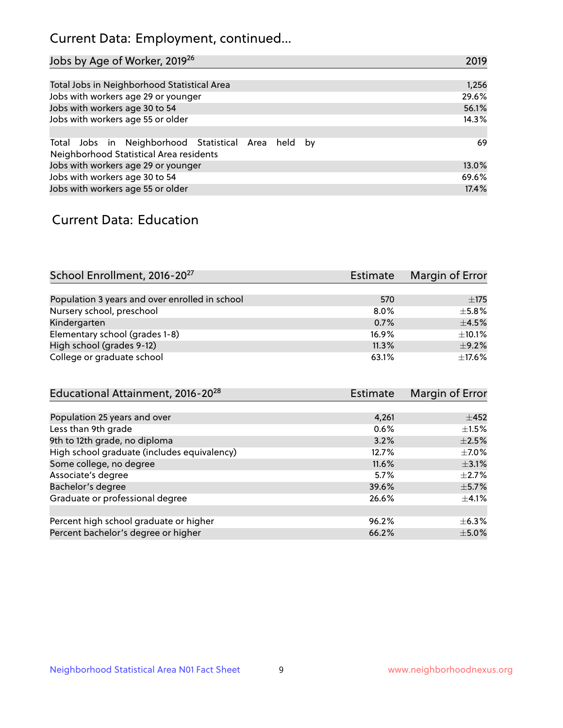## Current Data: Employment, continued...

| Jobs by Age of Worker, 2019 <sup>26</sup>                                                      | 2019  |
|------------------------------------------------------------------------------------------------|-------|
|                                                                                                |       |
| Total Jobs in Neighborhood Statistical Area                                                    | 1,256 |
| Jobs with workers age 29 or younger                                                            | 29.6% |
| Jobs with workers age 30 to 54                                                                 | 56.1% |
| Jobs with workers age 55 or older                                                              | 14.3% |
|                                                                                                |       |
| Total Jobs in Neighborhood Statistical Area held by<br>Neighborhood Statistical Area residents | 69    |
| Jobs with workers age 29 or younger                                                            | 13.0% |
| Jobs with workers age 30 to 54                                                                 | 69.6% |
| Jobs with workers age 55 or older                                                              | 17.4% |

### Current Data: Education

| School Enrollment, 2016-20 <sup>27</sup>       | <b>Estimate</b> | Margin of Error |
|------------------------------------------------|-----------------|-----------------|
|                                                |                 |                 |
| Population 3 years and over enrolled in school | 570             | $\pm 175$       |
| Nursery school, preschool                      | 8.0%            | $\pm$ 5.8%      |
| Kindergarten                                   | 0.7%            | $\pm$ 4.5%      |
| Elementary school (grades 1-8)                 | 16.9%           | ±10.1%          |
| High school (grades 9-12)                      | 11.3%           | $+9.2%$         |
| College or graduate school                     | 63.1%           | $\pm$ 17.6%     |

| Educational Attainment, 2016-20 <sup>28</sup> | Estimate | Margin of Error |
|-----------------------------------------------|----------|-----------------|
|                                               |          |                 |
| Population 25 years and over                  | 4.261    | $\pm 452$       |
| Less than 9th grade                           | 0.6%     | $\pm 1.5\%$     |
| 9th to 12th grade, no diploma                 | 3.2%     | $\pm 2.5\%$     |
| High school graduate (includes equivalency)   | 12.7%    | $\pm$ 7.0%      |
| Some college, no degree                       | 11.6%    | $\pm$ 3.1%      |
| Associate's degree                            | 5.7%     | $\pm 2.7\%$     |
| Bachelor's degree                             | 39.6%    | $\pm$ 5.7%      |
| Graduate or professional degree               | 26.6%    | $\pm$ 4.1%      |
|                                               |          |                 |
| Percent high school graduate or higher        | 96.2%    | $+6.3%$         |
| Percent bachelor's degree or higher           | 66.2%    | $\pm$ 5.0%      |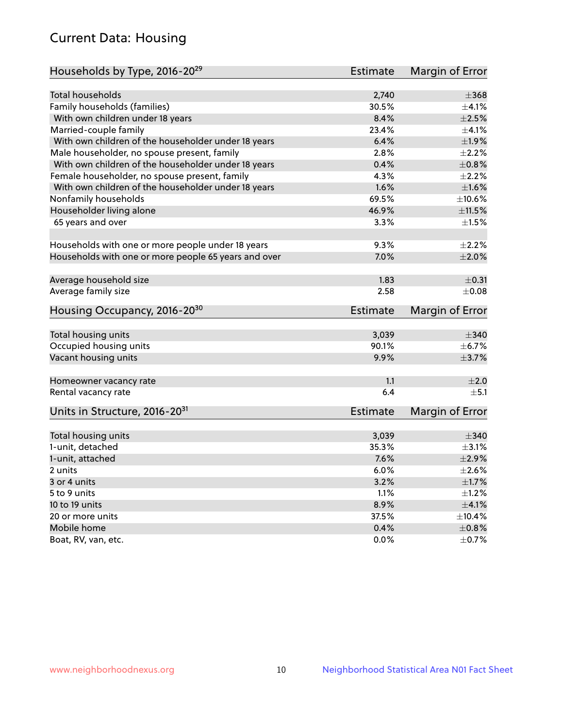## Current Data: Housing

| Households by Type, 2016-20 <sup>29</sup>            | <b>Estimate</b> | Margin of Error |
|------------------------------------------------------|-----------------|-----------------|
|                                                      |                 |                 |
| Total households                                     | 2,740           | $\pm$ 368       |
| Family households (families)                         | 30.5%           | $+4.1%$         |
| With own children under 18 years                     | 8.4%            | $\pm 2.5\%$     |
| Married-couple family                                | 23.4%           | $\pm 4.1\%$     |
| With own children of the householder under 18 years  | 6.4%            | ±1.9%           |
| Male householder, no spouse present, family          | 2.8%            | $\pm 2.2\%$     |
| With own children of the householder under 18 years  | 0.4%            | $\pm 0.8\%$     |
| Female householder, no spouse present, family        | 4.3%            | $\pm 2.2\%$     |
| With own children of the householder under 18 years  | 1.6%            | $\pm1.6\%$      |
| Nonfamily households                                 | 69.5%           | ±10.6%          |
| Householder living alone                             | 46.9%           | $\pm$ 11.5%     |
| 65 years and over                                    | 3.3%            | $\pm1.5\%$      |
|                                                      |                 |                 |
| Households with one or more people under 18 years    | 9.3%            | $\pm 2.2\%$     |
| Households with one or more people 65 years and over | 7.0%            | $\pm 2.0\%$     |
|                                                      |                 |                 |
| Average household size                               | 1.83            | $\pm$ 0.31      |
| Average family size                                  | 2.58            | $\pm$ 0.08      |
| Housing Occupancy, 2016-20 <sup>30</sup>             | <b>Estimate</b> | Margin of Error |
|                                                      |                 |                 |
| Total housing units                                  | 3,039           | $\pm$ 340       |
| Occupied housing units                               | 90.1%           | $\pm$ 6.7%      |
| Vacant housing units                                 | 9.9%            | $\pm$ 3.7%      |
|                                                      |                 | ±2.0            |
| Homeowner vacancy rate                               | 1.1<br>6.4      | ±5.1            |
| Rental vacancy rate                                  |                 |                 |
| Units in Structure, 2016-20 <sup>31</sup>            | Estimate        | Margin of Error |
|                                                      |                 |                 |
| Total housing units                                  | 3,039           | $\pm$ 340       |
| 1-unit, detached                                     | 35.3%           | $\pm$ 3.1%      |
| 1-unit, attached                                     | 7.6%            | $\pm 2.9\%$     |
| 2 units                                              | 6.0%            | $\pm 2.6\%$     |
| 3 or 4 units                                         | 3.2%            | $\pm1.7\%$      |
| 5 to 9 units                                         | 1.1%            | $\pm 1.2\%$     |
| 10 to 19 units                                       | 8.9%            | $\pm 4.1\%$     |
| 20 or more units                                     | 37.5%           | ±10.4%          |
| Mobile home                                          | 0.4%            | $\pm$ 0.8%      |
| Boat, RV, van, etc.                                  | $0.0\%$         | $\pm$ 0.7%      |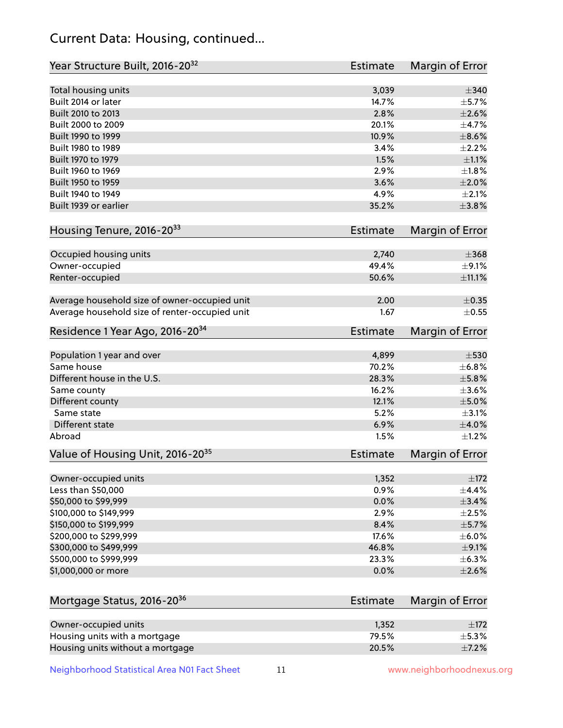## Current Data: Housing, continued...

| Year Structure Built, 2016-20 <sup>32</sup>    | Estimate        | <b>Margin of Error</b> |
|------------------------------------------------|-----------------|------------------------|
| Total housing units                            | 3,039           | $\pm$ 340              |
| Built 2014 or later                            | 14.7%           | $\pm$ 5.7%             |
| Built 2010 to 2013                             | 2.8%            | $\pm 2.6\%$            |
| Built 2000 to 2009                             | 20.1%           | ±4.7%                  |
| Built 1990 to 1999                             | 10.9%           | $\pm$ 8.6%             |
| Built 1980 to 1989                             | 3.4%            | ±2.2%                  |
| Built 1970 to 1979                             | 1.5%            | $\pm 1.1\%$            |
| Built 1960 to 1969                             | 2.9%            | $\pm 1.8\%$            |
| Built 1950 to 1959                             | 3.6%            | ±2.0%                  |
| Built 1940 to 1949                             | 4.9%            | $\pm 2.1\%$            |
| Built 1939 or earlier                          | 35.2%           | $\pm$ 3.8%             |
| Housing Tenure, 2016-2033                      | Estimate        | Margin of Error        |
| Occupied housing units                         | 2,740           | $\pm$ 368              |
| Owner-occupied                                 | 49.4%           | $\pm$ 9.1%             |
| Renter-occupied                                | 50.6%           | ±11.1%                 |
| Average household size of owner-occupied unit  | 2.00            | $\pm$ 0.35             |
| Average household size of renter-occupied unit | 1.67            | $\pm$ 0.55             |
| Residence 1 Year Ago, 2016-20 <sup>34</sup>    | <b>Estimate</b> | <b>Margin of Error</b> |
| Population 1 year and over                     | 4,899           | $\pm$ 530              |
| Same house                                     | 70.2%           | ±6.8%                  |
| Different house in the U.S.                    | 28.3%           | $\pm$ 5.8%             |
| Same county                                    | 16.2%           | $\pm$ 3.6%             |
| Different county                               | 12.1%           | $\pm$ 5.0%             |
| Same state                                     | 5.2%            | $\pm$ 3.1%             |
| Different state                                | 6.9%            | $\pm$ 4.0%             |
| Abroad                                         | 1.5%            | $\pm 1.2\%$            |
| Value of Housing Unit, 2016-20 <sup>35</sup>   | <b>Estimate</b> | <b>Margin of Error</b> |
| Owner-occupied units                           | 1,352           | $\pm$ 172              |
| Less than \$50,000                             | 0.9%            | $\pm$ 4.4%             |
| \$50,000 to \$99,999                           | 0.0%            | ±3.4%                  |
| \$100,000 to \$149,999                         | 2.9%            | $\pm 2.5\%$            |
| \$150,000 to \$199,999                         | 8.4%            | $\pm$ 5.7%             |
| \$200,000 to \$299,999                         | 17.6%           | $\pm$ 6.0%             |
| \$300,000 to \$499,999                         | 46.8%           | $\pm$ 9.1%             |
| \$500,000 to \$999,999                         | 23.3%           | ±6.3%                  |
| \$1,000,000 or more                            | 0.0%            | $\pm 2.6\%$            |
| Mortgage Status, 2016-20 <sup>36</sup>         | <b>Estimate</b> | Margin of Error        |
| Owner-occupied units                           | 1,352           | $\pm$ 172              |
| Housing units with a mortgage                  | 79.5%           | $\pm$ 5.3%             |

Neighborhood Statistical Area N01 Fact Sheet 11 11 www.neighborhoodnexus.org

Housing units without a mortgage  $\pm 7.2\%$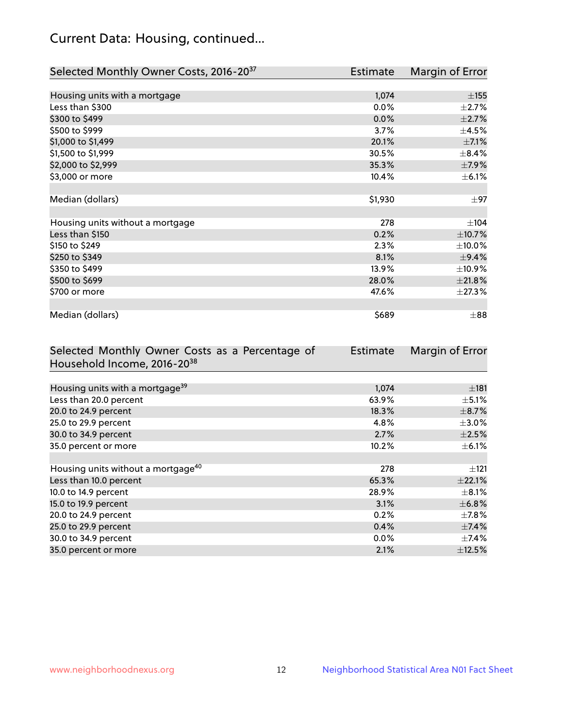## Current Data: Housing, continued...

| Selected Monthly Owner Costs, 2016-20 <sup>37</sup> | Estimate | Margin of Error |
|-----------------------------------------------------|----------|-----------------|
|                                                     |          |                 |
| Housing units with a mortgage                       | 1,074    | $\pm$ 155       |
| Less than \$300                                     | 0.0%     | $\pm 2.7\%$     |
| \$300 to \$499                                      | 0.0%     | $\pm 2.7\%$     |
| \$500 to \$999                                      | 3.7%     | $\pm$ 4.5%      |
| \$1,000 to \$1,499                                  | 20.1%    | $\pm$ 7.1%      |
| \$1,500 to \$1,999                                  | 30.5%    | $\pm$ 8.4%      |
| \$2,000 to \$2,999                                  | 35.3%    | $\pm$ 7.9%      |
| \$3,000 or more                                     | 10.4%    | $\pm$ 6.1%      |
|                                                     |          |                 |
| Median (dollars)                                    | \$1,930  | $\pm 97$        |
|                                                     |          |                 |
| Housing units without a mortgage                    | 278      | ±104            |
| Less than \$150                                     | 0.2%     | ±10.7%          |
| \$150 to \$249                                      | 2.3%     | $\pm$ 10.0%     |
| \$250 to \$349                                      | 8.1%     | ±9.4%           |
| \$350 to \$499                                      | 13.9%    | $\pm$ 10.9%     |
| \$500 to \$699                                      | 28.0%    | ±21.8%          |
| \$700 or more                                       | 47.6%    | ±27.3%          |
|                                                     |          |                 |
| Median (dollars)                                    | \$689    | $\pm$ 88        |

| Selected Monthly Owner Costs as a Percentage of | <b>Estimate</b> | Margin of Error |
|-------------------------------------------------|-----------------|-----------------|
| Household Income, 2016-20 <sup>38</sup>         |                 |                 |
|                                                 |                 |                 |
| Housing units with a mortgage <sup>39</sup>     | 1,074           | $\pm$ 181       |
| Less than 20.0 percent                          | 63.9%           | $\pm$ 5.1%      |
| 20.0 to 24.9 percent                            | 18.3%           | $\pm$ 8.7%      |
| 25.0 to 29.9 percent                            | 4.8%            | $\pm 3.0\%$     |
| 30.0 to 34.9 percent                            | 2.7%            | $\pm 2.5\%$     |
| 35.0 percent or more                            | 10.2%           | $\pm$ 6.1%      |
|                                                 |                 |                 |
| Housing units without a mortgage <sup>40</sup>  | 278             | $\pm$ 121       |
| Less than 10.0 percent                          | 65.3%           | $\pm$ 22.1%     |
| 10.0 to 14.9 percent                            | 28.9%           | $\pm$ 8.1%      |
| 15.0 to 19.9 percent                            | 3.1%            | $\pm$ 6.8%      |
| 20.0 to 24.9 percent                            | 0.2%            | $\pm$ 7.8%      |
| 25.0 to 29.9 percent                            | 0.4%            | $\pm$ 7.4%      |
| 30.0 to 34.9 percent                            | $0.0\%$         | $\pm$ 7.4%      |
| 35.0 percent or more                            | 2.1%            | $\pm$ 12.5%     |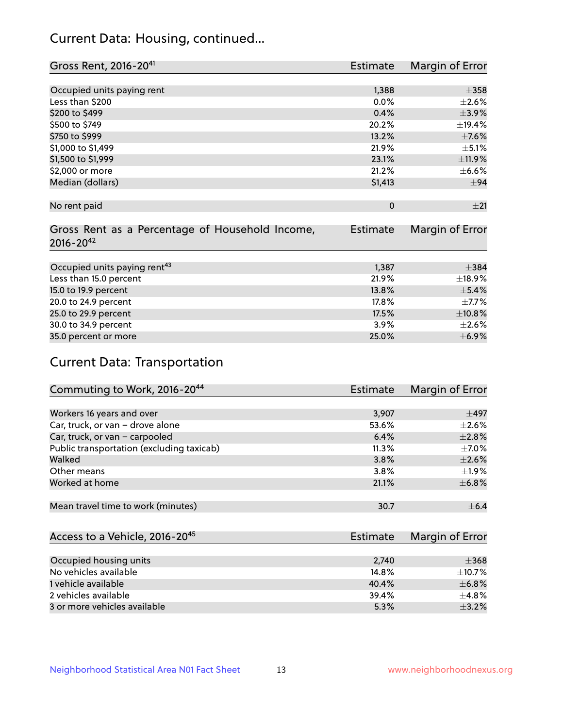## Current Data: Housing, continued...

| Gross Rent, 2016-20 <sup>41</sup>               | <b>Estimate</b> | Margin of Error |
|-------------------------------------------------|-----------------|-----------------|
|                                                 |                 |                 |
| Occupied units paying rent                      | 1,388           | $\pm$ 358       |
| Less than \$200                                 | 0.0%            | $\pm 2.6\%$     |
| \$200 to \$499                                  | 0.4%            | $\pm$ 3.9%      |
| \$500 to \$749                                  | 20.2%           | ±19.4%          |
| \$750 to \$999                                  | 13.2%           | $\pm$ 7.6%      |
| \$1,000 to \$1,499                              | 21.9%           | $\pm$ 5.1%      |
| \$1,500 to \$1,999                              | 23.1%           | ±11.9%          |
| \$2,000 or more                                 | 21.2%           | $\pm$ 6.6%      |
| Median (dollars)                                | \$1,413         | $\pm$ 94        |
|                                                 |                 |                 |
| No rent paid                                    | $\mathbf 0$     | ±21             |
|                                                 |                 |                 |
| Gross Rent as a Percentage of Household Income, | <b>Estimate</b> | Margin of Error |
| $2016 - 20^{42}$                                |                 |                 |
|                                                 |                 |                 |
| Occupied units paying rent <sup>43</sup>        | 1,387           | $\pm$ 384       |
| Less than 15.0 percent                          | 21.9%           | $\pm$ 18.9%     |
| 15.0 to 19.9 percent                            | 13.8%           | $\pm$ 5.4%      |
| 20.0 to 24.9 percent                            | 17.8%           | $\pm$ 7.7%      |
| 25.0 to 29.9 percent                            | 17.5%           | ±10.8%          |
| 30.0 to 34.9 percent                            | $3.9\%$         | $\pm 2.6\%$     |
| 35.0 percent or more                            | 25.0%           | $\pm$ 6.9%      |

# Current Data: Transportation

| Commuting to Work, 2016-20 <sup>44</sup>  | Estimate | Margin of Error |
|-------------------------------------------|----------|-----------------|
|                                           |          |                 |
| Workers 16 years and over                 | 3,907    | $\pm$ 497       |
| Car, truck, or van - drove alone          | 53.6%    | $\pm 2.6\%$     |
| Car, truck, or van - carpooled            | 6.4%     | $\pm 2.8\%$     |
| Public transportation (excluding taxicab) | 11.3%    | $\pm$ 7.0%      |
| Walked                                    | 3.8%     | $\pm 2.6\%$     |
| Other means                               | 3.8%     | $\pm 1.9\%$     |
| Worked at home                            | 21.1%    | $\pm$ 6.8%      |
|                                           |          |                 |
| Mean travel time to work (minutes)        | 30.7     | $\pm$ 6.4       |

| Access to a Vehicle, 2016-20 <sup>45</sup> | <b>Estimate</b> | Margin of Error |
|--------------------------------------------|-----------------|-----------------|
|                                            |                 |                 |
| Occupied housing units                     | 2,740           | $\pm$ 368       |
| No vehicles available                      | 14.8%           | $\pm$ 10.7%     |
| 1 vehicle available                        | 40.4%           | ±6.8%           |
| 2 vehicles available                       | 39.4%           | $+4.8%$         |
| 3 or more vehicles available               | 5.3%            | $+3.2%$         |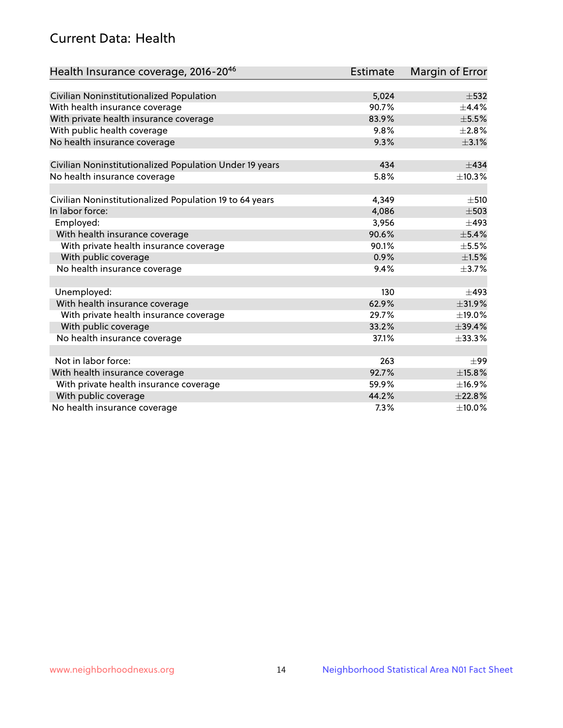## Current Data: Health

| Health Insurance coverage, 2016-2046                    | <b>Estimate</b> | Margin of Error |
|---------------------------------------------------------|-----------------|-----------------|
|                                                         |                 |                 |
| Civilian Noninstitutionalized Population                | 5,024           | $\pm$ 532       |
| With health insurance coverage                          | 90.7%           | $\pm$ 4.4%      |
| With private health insurance coverage                  | 83.9%           | $\pm$ 5.5%      |
| With public health coverage                             | 9.8%            | $\pm 2.8\%$     |
| No health insurance coverage                            | 9.3%            | $\pm$ 3.1%      |
| Civilian Noninstitutionalized Population Under 19 years | 434             | $\pm$ 434       |
| No health insurance coverage                            | 5.8%            | ±10.3%          |
|                                                         |                 |                 |
| Civilian Noninstitutionalized Population 19 to 64 years | 4,349           | $\pm$ 510       |
| In labor force:                                         | 4,086           | $\pm$ 503       |
| Employed:                                               | 3,956           | $\pm$ 493       |
| With health insurance coverage                          | 90.6%           | $\pm$ 5.4%      |
| With private health insurance coverage                  | 90.1%           | $\pm$ 5.5%      |
| With public coverage                                    | 0.9%            | $\pm 1.5\%$     |
| No health insurance coverage                            | 9.4%            | $\pm$ 3.7%      |
|                                                         |                 |                 |
| Unemployed:                                             | 130             | $\pm$ 493       |
| With health insurance coverage                          | 62.9%           | ±31.9%          |
| With private health insurance coverage                  | 29.7%           | ±19.0%          |
| With public coverage                                    | 33.2%           | $\pm$ 39.4%     |
| No health insurance coverage                            | 37.1%           | $\pm$ 33.3%     |
|                                                         |                 |                 |
| Not in labor force:                                     | 263             | $\pm$ 99        |
| With health insurance coverage                          | 92.7%           | ±15.8%          |
| With private health insurance coverage                  | 59.9%           | ±16.9%          |
| With public coverage                                    | 44.2%           | ±22.8%          |
| No health insurance coverage                            | 7.3%            | $\pm$ 10.0%     |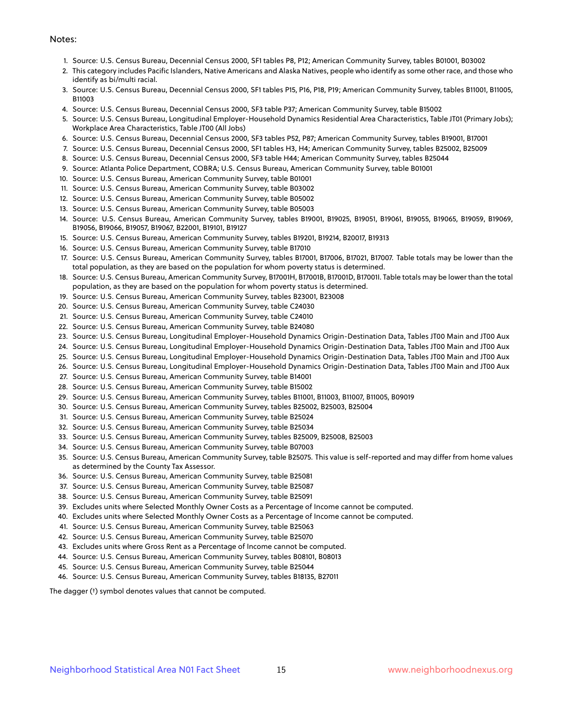#### Notes:

- 1. Source: U.S. Census Bureau, Decennial Census 2000, SF1 tables P8, P12; American Community Survey, tables B01001, B03002
- 2. This category includes Pacific Islanders, Native Americans and Alaska Natives, people who identify as some other race, and those who identify as bi/multi racial.
- 3. Source: U.S. Census Bureau, Decennial Census 2000, SF1 tables P15, P16, P18, P19; American Community Survey, tables B11001, B11005, B11003
- 4. Source: U.S. Census Bureau, Decennial Census 2000, SF3 table P37; American Community Survey, table B15002
- 5. Source: U.S. Census Bureau, Longitudinal Employer-Household Dynamics Residential Area Characteristics, Table JT01 (Primary Jobs); Workplace Area Characteristics, Table JT00 (All Jobs)
- 6. Source: U.S. Census Bureau, Decennial Census 2000, SF3 tables P52, P87; American Community Survey, tables B19001, B17001
- 7. Source: U.S. Census Bureau, Decennial Census 2000, SF1 tables H3, H4; American Community Survey, tables B25002, B25009
- 8. Source: U.S. Census Bureau, Decennial Census 2000, SF3 table H44; American Community Survey, tables B25044
- 9. Source: Atlanta Police Department, COBRA; U.S. Census Bureau, American Community Survey, table B01001
- 10. Source: U.S. Census Bureau, American Community Survey, table B01001
- 11. Source: U.S. Census Bureau, American Community Survey, table B03002
- 12. Source: U.S. Census Bureau, American Community Survey, table B05002
- 13. Source: U.S. Census Bureau, American Community Survey, table B05003
- 14. Source: U.S. Census Bureau, American Community Survey, tables B19001, B19025, B19051, B19061, B19055, B19065, B19059, B19069, B19056, B19066, B19057, B19067, B22001, B19101, B19127
- 15. Source: U.S. Census Bureau, American Community Survey, tables B19201, B19214, B20017, B19313
- 16. Source: U.S. Census Bureau, American Community Survey, table B17010
- 17. Source: U.S. Census Bureau, American Community Survey, tables B17001, B17006, B17021, B17007. Table totals may be lower than the total population, as they are based on the population for whom poverty status is determined.
- 18. Source: U.S. Census Bureau, American Community Survey, B17001H, B17001B, B17001D, B17001I. Table totals may be lower than the total population, as they are based on the population for whom poverty status is determined.
- 19. Source: U.S. Census Bureau, American Community Survey, tables B23001, B23008
- 20. Source: U.S. Census Bureau, American Community Survey, table C24030
- 21. Source: U.S. Census Bureau, American Community Survey, table C24010
- 22. Source: U.S. Census Bureau, American Community Survey, table B24080
- 23. Source: U.S. Census Bureau, Longitudinal Employer-Household Dynamics Origin-Destination Data, Tables JT00 Main and JT00 Aux
- 24. Source: U.S. Census Bureau, Longitudinal Employer-Household Dynamics Origin-Destination Data, Tables JT00 Main and JT00 Aux
- 25. Source: U.S. Census Bureau, Longitudinal Employer-Household Dynamics Origin-Destination Data, Tables JT00 Main and JT00 Aux
- 26. Source: U.S. Census Bureau, Longitudinal Employer-Household Dynamics Origin-Destination Data, Tables JT00 Main and JT00 Aux
- 27. Source: U.S. Census Bureau, American Community Survey, table B14001
- 28. Source: U.S. Census Bureau, American Community Survey, table B15002
- 29. Source: U.S. Census Bureau, American Community Survey, tables B11001, B11003, B11007, B11005, B09019
- 30. Source: U.S. Census Bureau, American Community Survey, tables B25002, B25003, B25004
- 31. Source: U.S. Census Bureau, American Community Survey, table B25024
- 32. Source: U.S. Census Bureau, American Community Survey, table B25034
- 33. Source: U.S. Census Bureau, American Community Survey, tables B25009, B25008, B25003
- 34. Source: U.S. Census Bureau, American Community Survey, table B07003
- 35. Source: U.S. Census Bureau, American Community Survey, table B25075. This value is self-reported and may differ from home values as determined by the County Tax Assessor.
- 36. Source: U.S. Census Bureau, American Community Survey, table B25081
- 37. Source: U.S. Census Bureau, American Community Survey, table B25087
- 38. Source: U.S. Census Bureau, American Community Survey, table B25091
- 39. Excludes units where Selected Monthly Owner Costs as a Percentage of Income cannot be computed.
- 40. Excludes units where Selected Monthly Owner Costs as a Percentage of Income cannot be computed.
- 41. Source: U.S. Census Bureau, American Community Survey, table B25063
- 42. Source: U.S. Census Bureau, American Community Survey, table B25070
- 43. Excludes units where Gross Rent as a Percentage of Income cannot be computed.
- 44. Source: U.S. Census Bureau, American Community Survey, tables B08101, B08013
- 45. Source: U.S. Census Bureau, American Community Survey, table B25044
- 46. Source: U.S. Census Bureau, American Community Survey, tables B18135, B27011

The dagger (†) symbol denotes values that cannot be computed.